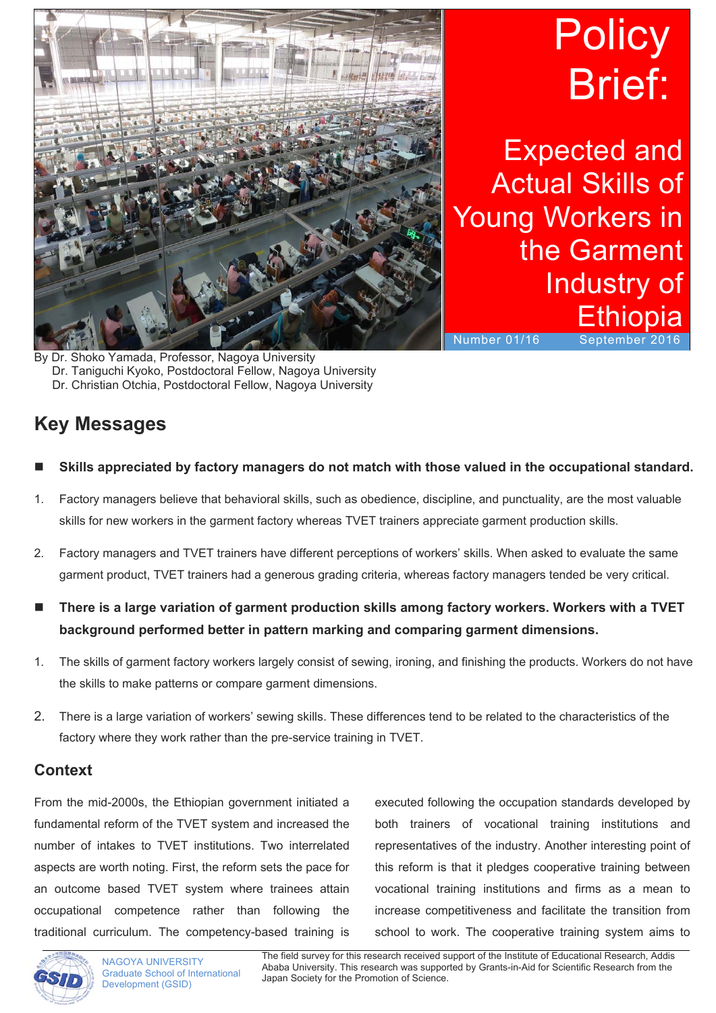

# **Policy** Brief:

Expected and Actual Skills of Young Workers in the Garment Industry of **Ethiopia** 

Number 01/16 September 2016

Dr. Shoko Yamada, Professor, Nagoya University Dr. Taniguchi Kyoko, Postdoctoral Fellow, Nagoya University Dr. Christian Otchia, Postdoctoral Fellow, Nagoya University

## **Key Messages**

- **Skills appreciated by factory managers do not match with those valued in the occupational standard.**
- 1. Factory managers believe that behavioral skills, such as obedience, discipline, and punctuality, are the most valuable skills for new workers in the garment factory whereas TVET trainers appreciate garment production skills.
- 2. Factory managers and TVET trainers have different perceptions of workers' skills. When asked to evaluate the same garment product, TVET trainers had a generous grading criteria, whereas factory managers tended be very critical.
- **There is a large variation of garment production skills among factory workers. Workers with a TVET background performed better in pattern marking and comparing garment dimensions.**
- 1. The skills of garment factory workers largely consist of sewing, ironing, and finishing the products. Workers do not have the skills to make patterns or compare garment dimensions.
- 2. There is a large variation of workers' sewing skills. These differences tend to be related to the characteristics of the factory where they work rather than the pre-service training in TVET.

### **Context**

From the mid-2000s, the Ethiopian government initiated a fundamental reform of the TVET system and increased the number of intakes to TVET institutions. Two interrelated aspects are worth noting. First, the reform sets the pace for an outcome based TVET system where trainees attain occupational competence rather than following the traditional curriculum. The competency-based training is

executed following the occupation standards developed by both trainers of vocational training institutions and representatives of the industry. Another interesting point of this reform is that it pledges cooperative training between vocational training institutions and firms as a mean to increase competitiveness and facilitate the transition from school to work. The cooperative training system aims to



 The field survey for this research received support of the Institute of Educational Research, Addis Ababa University. This research was supported by Grants-in-Aid for Scientific Research from the Japan Society for the Promotion of Science.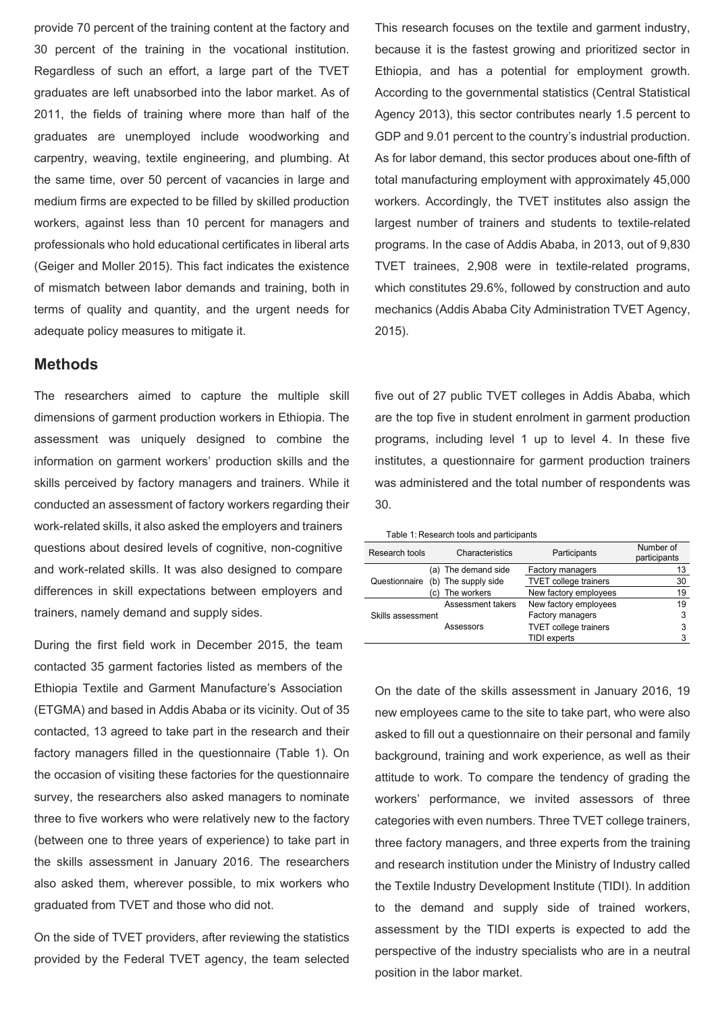provide 70 percent of the training content at the factory and 30 percent of the training in the vocational institution. Regardless of such an effort, a large part of the TVET graduates are left unabsorbed into the labor market. As of 2011, the fields of training where more than half of the graduates are unemployed include woodworking and carpentry, weaving, textile engineering, and plumbing. At the same time, over 50 percent of vacancies in large and medium firms are expected to be filled by skilled production workers, against less than 10 percent for managers and professionals who hold educational certificates in liberal arts (Geiger and Moller 2015). This fact indicates the existence of mismatch between labor demands and training, both in terms of quality and quantity, and the urgent needs for adequate policy measures to mitigate it.

#### **Methods**

The researchers aimed to capture the multiple skill dimensions of garment production workers in Ethiopia. The assessment was uniquely designed to combine the information on garment workers' production skills and the skills perceived by factory managers and trainers. While it conducted an assessment of factory workers regarding their work-related skills, it also asked the employers and trainers questions about desired levels of cognitive, non-cognitive and work-related skills. It was also designed to compare differences in skill expectations between employers and trainers, namely demand and supply sides.

During the first field work in December 2015, the team contacted 35 garment factories listed as members of the Ethiopia Textile and Garment Manufacture's Association (ETGMA) and based in Addis Ababa or its vicinity. Out of 35 contacted, 13 agreed to take part in the research and their factory managers filled in the questionnaire (Table 1). On the occasion of visiting these factories for the questionnaire survey, the researchers also asked managers to nominate three to five workers who were relatively new to the factory (between one to three years of experience) to take part in the skills assessment in January 2016. The researchers also asked them, wherever possible, to mix workers who graduated from TVET and those who did not.

On the side of TVET providers, after reviewing the statistics provided by the Federal TVET agency, the team selected This research focuses on the textile and garment industry, because it is the fastest growing and prioritized sector in Ethiopia, and has a potential for employment growth. According to the governmental statistics (Central Statistical Agency 2013), this sector contributes nearly 1.5 percent to GDP and 9.01 percent to the country's industrial production. As for labor demand, this sector produces about one-fifth of total manufacturing employment with approximately 45,000 workers. Accordingly, the TVET institutes also assign the largest number of trainers and students to textile-related programs. In the case of Addis Ababa, in 2013, out of 9,830 TVET trainees, 2,908 were in textile-related programs, which constitutes 29.6%, followed by construction and auto mechanics (Addis Ababa City Administration TVET Agency, 2015).

five out of 27 public TVET colleges in Addis Ababa, which are the top five in student enrolment in garment production programs, including level 1 up to level 4. In these five institutes, a questionnaire for garment production trainers was administered and the total number of respondents was 30.

| Table 1: Research tools and participants |  |  |  |  |
|------------------------------------------|--|--|--|--|
|------------------------------------------|--|--|--|--|

| Research tools    |      | Characteristics     | Participants                 | Number of<br>participants |
|-------------------|------|---------------------|------------------------------|---------------------------|
|                   |      | (a) The demand side | Factory managers             | 13                        |
| Questionnaire     |      | (b) The supply side | <b>TVET college trainers</b> | 30                        |
|                   | (c). | The workers         | New factory employees        | 19                        |
| Skills assessment |      | Assessment takers   | New factory employees        | 19                        |
|                   |      |                     | Factory managers             | 3                         |
|                   |      | Assessors           | <b>TVET college trainers</b> | 3                         |
|                   |      |                     | <b>TIDI</b> experts          | 3                         |

On the date of the skills assessment in January 2016, 19 new employees came to the site to take part, who were also asked to fill out a questionnaire on their personal and family background, training and work experience, as well as their attitude to work. To compare the tendency of grading the workers' performance, we invited assessors of three categories with even numbers. Three TVET college trainers, three factory managers, and three experts from the training and research institution under the Ministry of Industry called the Textile Industry Development Institute (TIDI). In addition to the demand and supply side of trained workers, assessment by the TIDI experts is expected to add the perspective of the industry specialists who are in a neutral position in the labor market.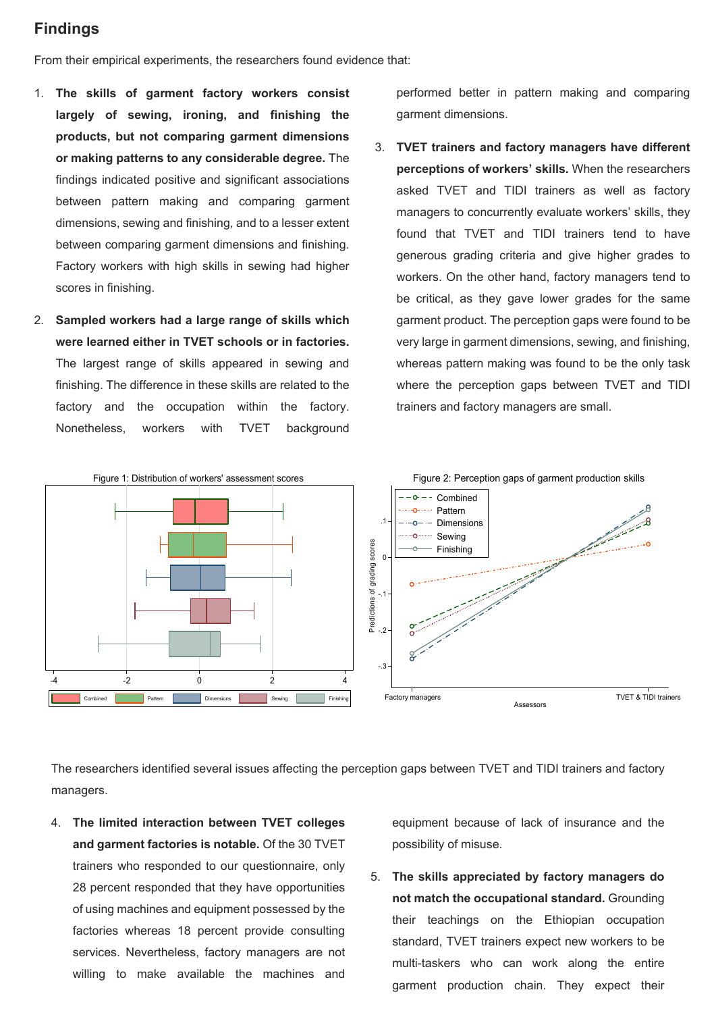#### **Findings**

From their empirical experiments, the researchers found evidence that:

- 1. **The skills of garment factory workers consist largely of sewing, ironing, and finishing the products, but not comparing garment dimensions or making patterns to any considerable degree.** The findings indicated positive and significant associations between pattern making and comparing garment dimensions, sewing and finishing, and to a lesser extent between comparing garment dimensions and finishing. Factory workers with high skills in sewing had higher scores in finishing.
- 2. **Sampled workers had a large range of skills which were learned either in TVET schools or in factories.** The largest range of skills appeared in sewing and finishing. The difference in these skills are related to the factory and the occupation within the factory. Nonetheless, workers with TVET background

performed better in pattern making and comparing garment dimensions.

3. **TVET trainers and factory managers have different perceptions of workers' skills.** When the researchers asked TVET and TIDI trainers as well as factory managers to concurrently evaluate workers' skills, they found that TVET and TIDI trainers tend to have generous grading criteria and give higher grades to workers. On the other hand, factory managers tend to be critical, as they gave lower grades for the same garment product. The perception gaps were found to be very large in garment dimensions, sewing, and finishing, whereas pattern making was found to be the only task where the perception gaps between TVET and TIDI trainers and factory managers are small.



The researchers identified several issues affecting the perception gaps between TVET and TIDI trainers and factory managers.

4. **The limited interaction between TVET colleges and garment factories is notable.** Of the 30 TVET trainers who responded to our questionnaire, only 28 percent responded that they have opportunities of using machines and equipment possessed by the factories whereas 18 percent provide consulting services. Nevertheless, factory managers are not willing to make available the machines and

equipment because of lack of insurance and the possibility of misuse.

5. **The skills appreciated by factory managers do not match the occupational standard.** Grounding their teachings on the Ethiopian occupation standard, TVET trainers expect new workers to be multi-taskers who can work along the entire garment production chain. They expect their